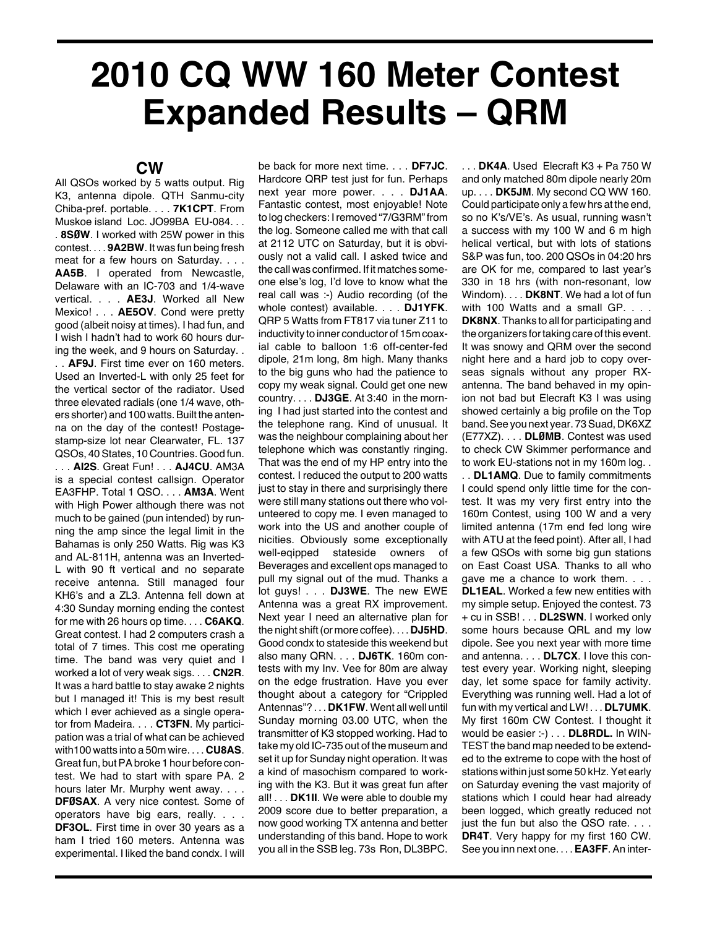## **2010 CQ WW 160 Meter Contest Expanded Results – QRM**

## **CW**

All QSOs worked by 5 watts output. Rig K3, antenna dipole. QTH Sanmu-city Chiba-pref. portable. . . . **7K1CPT**. From Muskoe island Loc. JO99BA EU-084. . . . **8SØW**. I worked with 25W power in this contest. . . . **9A2BW**. It was fun being fresh meat for a few hours on Saturday. . . . **AA5B**. I operated from Newcastle, Delaware with an IC-703 and 1/4-wave vertical. . . . **AE3J**. Worked all New Mexico! . . . **AE5OV**. Cond were pretty good (albeit noisy at times). I had fun, and I wish I hadn't had to work 60 hours during the week, and 9 hours on Saturday. .

. . **AF9J**. First time ever on 160 meters. Used an Inverted-L with only 25 feet for the vertical sector of the radiator. Used three elevated radials (one 1/4 wave, others shorter) and 100 watts. Built the antenna on the day of the contest! Postagestamp-size lot near Clearwater, FL. 137 QSOs, 40States, 10 Countries. Good fun. . . . **AI2S**. Great Fun! . . . **AJ4CU**. AM3A is a special contest callsign. Operator EA3FHP. Total 1 QSO. . . . **AM3A**. Went with High Power although there was not much to be gained (pun intended) by running the amp since the legal limit in the Bahamas is only 250 Watts. Rig was K3 and AL-811H, antenna was an Inverted-L with 90 ft vertical and no separate receive antenna. Still managed four KH6's and a ZL3. Antenna fell down at 4:30 Sunday morning ending the contest for me with 26 hours op time. . . . **C6AKQ**. Great contest. I had 2 computers crash a total of 7 times. This cost me operating time. The band was very quiet and I worked a lot of very weak sigs. . . . **CN2R**. It was a hard battle to stay awake 2 nights but I managed it! This is my best result which I ever achieved as a single operator from Madeira. . . . **CT3FN**. My participation was a trial of what can be achieved with100 watts into a 50m wire. . . . **CU8AS**. Great fun, butPAbroke 1 hour before contest. We had to start with spare PA. 2 hours later Mr. Murphy went away. . . . **DFØSAX**. A very nice contest. Some of operators have big ears, really. . . . **DF3OL**. First time in over 30 years as a ham I tried 160 meters. Antenna was experimental. I liked the band condx. I will

be back for more next time. . . . **DF7JC**. Hardcore QRP test just for fun. Perhaps next year more power. . . . **DJ1AA**. Fantastic contest, most enjoyable! Note to log checkers: I removed "7/G3RM" from the log. Someone called me with that call at 2112 UTC on Saturday, but it is obviously not a valid call. I asked twice and the call was confirmed. If it matches someone else's log, I'd love to know what the real call was :-) Audio recording (of the whole contest) available. . . . **DJ1YFK**. QRP 5 Watts from FT817 via tuner Z11 to inductivity to inner conductor of 15m coaxial cable to balloon 1:6 off-center-fed dipole, 21m long, 8m high. Many thanks to the big guns who had the patience to copy my weak signal. Could get one new country. . . . **DJ3GE**. At 3:40 in the morning I had just started into the contest and the telephone rang. Kind of unusual. It was the neighbour complaining about her telephone which was constantly ringing. That was the end of my HP entry into the contest. I reduced the output to 200 watts just to stay in there and surprisingly there were still many stations out there who volunteered to copy me. I even managed to work into the US and another couple of nicities. Obviously some exceptionally well-eqipped stateside owners of Beverages and excellent ops managed to pull my signal out of the mud. Thanks a lot guys! . . . **DJ3WE**. The new EWE Antenna was a great RX improvement. Next year I need an alternative plan for the night shift(or more coffee). . . . **DJ5HD**. Good condx to stateside this weekend but also many QRN. . . . **DJ6TK**. 160m contests with my Inv. Vee for 80m are alway on the edge frustration. Have you ever thought about a category for "Crippled Antennas"? . . . **DK1FW**. Went all well until Sunday morning 03.00 UTC, when the transmitter of K3 stopped working. Had to take my old IC-735 out of the museum and set it up for Sunday night operation. It was a kind of masochism compared to working with the K3. But it was great fun after all! . . . **DK1II**. We were able to double my 2009 score due to better preparation, a now good working TX antenna and better understanding of this band. Hope to work you all in the SSB leg. 73s Ron, DL3BPC.

. . . **DK4A**. Used Elecraft K3 + Pa 750 W and only matched 80m dipole nearly 20m up. . . . **DK5JM**. My second CQ WW 160. Could participate only a few hrs at the end, so no K's/VE's. As usual, running wasn't a success with my 100 W and 6 m high helical vertical, but with lots of stations S&P was fun, too. 200 QSOs in 04:20 hrs are OK for me, compared to last year's 330 in 18 hrs (with non-resonant, low Windom). . . . **DK8NT**. We had a lot of fun with 100 Watts and a small GP. . . . **DK8NX**. Thanks to all for participating and the organizers fortaking care of this event. It was snowy and QRM over the second night here and a hard job to copy overseas signals without any proper RXantenna. The band behaved in my opinion not bad but Elecraft K3 I was using showed certainly a big profile on the Top band. See you next year. 73 Suad, DK6XZ (E77XZ). . . . **DLØMB**. Contest was used to check CW Skimmer performance and to work EU-stations not in my 160m log. . . . **DL1AMQ**. Due to family commitments I could spend only little time for the contest. It was my very first entry into the 160m Contest, using 100 W and a very limited antenna (17m end fed long wire with ATU at the feed point). After all, I had a few QSOs with some big gun stations on East Coast USA. Thanks to all who gave me a chance to work them. . . . **DL1EAL**. Worked a few new entities with my simple setup. Enjoyed the contest. 73 + cu in SSB! . . . **DL2SWN**. I worked only some hours because QRL and my low dipole. See you next year with more time and antenna. . . . **DL7CX**. I love this contest every year. Working night, sleeping day, let some space for family activity. Everything was running well. Had a lot of fun with my vertical and LW! . . . **DL7UMK**. My first 160m CW Contest. I thought it would be easier :-) . . . **DL8RDL.** In WIN-TEST the band map needed to be extended to the extreme to cope with the host of stations within just some 50 kHz. Yet early on Saturday evening the vast majority of stations which I could hear had already been logged, which greatly reduced not just the fun but also the QSO rate. . . . **DR4T**. Very happy for my first 160 CW. See you inn next one. . . .**EA3FF**.An inter-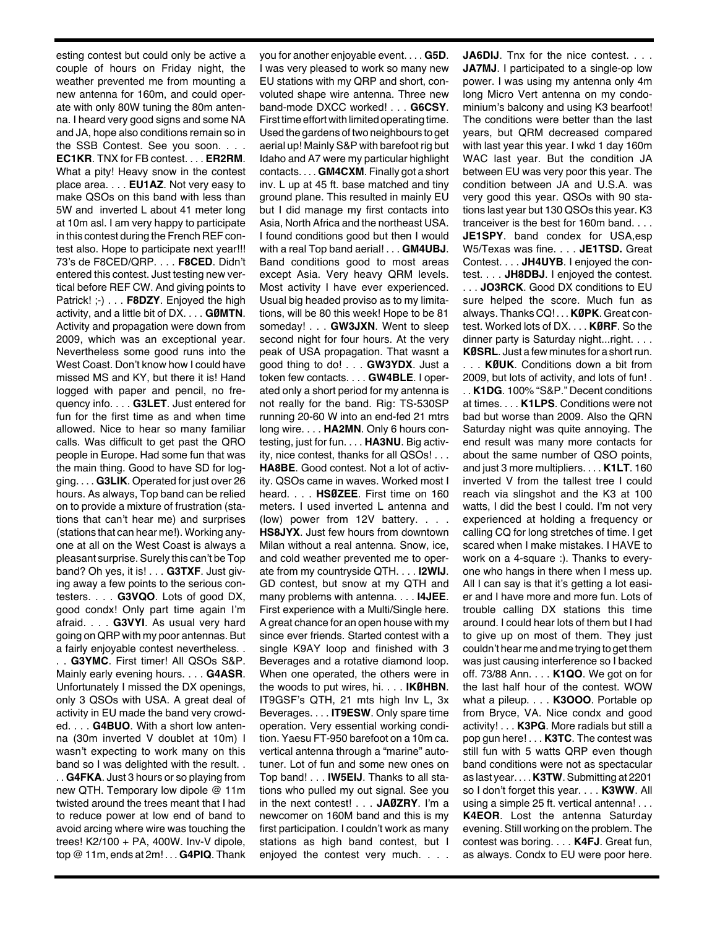esting contest but could only be active a couple of hours on Friday night, the weather prevented me from mounting a new antenna for 160m, and could operate with only 80W tuning the 80m antenna. I heard very good signs and some NA and JA, hope also conditions remain so in the SSB Contest. See you soon. . . . **EC1KR**. TNX for FB contest. . . . **ER2RM**. What a pity! Heavy snow in the contest place area. . . . **EU1AZ**. Not very easy to make QSOs on this band with less than 5W and inverted L about 41 meter long at 10m asl. I am very happy to participate in this contest during the French REF contest also. Hope to participate next year!!! 73's de F8CED/QRP. . . . **F8CED**. Didn't entered this contest. Just testing new vertical before REF CW. And giving points to Patrick! ;-) . . . **F8DZY**. Enjoyed the high activity, and a little bit of DX. . . . **GØMTN**. Activity and propagation were down from 2009, which was an exceptional year. Nevertheless some good runs into the West Coast. Don't know how I could have missed MS and KY, but there it is! Hand logged with paper and pencil, no frequency info. . . . **G3LET**. Just entered for fun for the first time as and when time allowed. Nice to hear so many familiar calls. Was difficult to get past the QRO people in Europe. Had some fun that was the main thing. Good to have SD for logging. . . . **G3LIK**. Operated for just over 26 hours. As always, Top band can be relied on to provide a mixture of frustration (stations that can't hear me) and surprises (stations that can hear me!). Working anyone at all on the West Coast is always a pleasant surprise. Surely this can't be Top band? Oh yes, it is! . . . **G3TXF**. Just giving away a few points to the serious contesters. . . . **G3VQO**. Lots of good DX, good condx! Only part time again I'm afraid. . . . **G3VYI**. As usual very hard going on QRP with my poor antennas. But a fairly enjoyable contest nevertheless. .

. . **G3YMC**. First timer! All QSOs S&P. Mainly early evening hours. . . . **G4ASR**. Unfortunately I missed the DX openings, only 3 QSOs with USA. A great deal of activity in EU made the band very crowded. . . . **G4BUO**. With a short low antenna (30m inverted V doublet at 10m) I wasn't expecting to work many on this band so I was delighted with the result. .

. . **G4FKA**. Just 3 hours or so playing from new QTH. Temporary low dipole @ 11m twisted around the trees meant that I had to reduce power at low end of band to avoid arcing where wire was touching the trees! K2/100 + PA, 400W. Inv-V dipole, top @ 11m, ends at 2m! . . . **G4PIQ**. Thank you for another enjoyable event. . . . **G5D**. I was very pleased to work so many new EU stations with my QRP and short, convoluted shape wire antenna. Three new band-mode DXCC worked! . . . **G6CSY**. First time effort with limited operating time. Used the gardens of two neighbours to get aerial up! Mainly S&P with barefoot rig but Idaho and A7 were my particular highlight contacts. . . . **GM4CXM**. Finally got a short inv. L up at 45 ft. base matched and tiny ground plane. This resulted in mainly EU but I did manage my first contacts into Asia, North Africa and the northeast USA. I found conditions good but then I would with a real Top band aerial! . . . **GM4UBJ**. Band conditions good to most areas except Asia. Very heavy QRM levels. Most activity I have ever experienced. Usual big headed proviso as to my limitations, will be 80 this week! Hope to be 81 someday! . . . **GW3JXN**. Went to sleep second night for four hours. At the very peak of USA propagation. That wasnt a good thing to do! . . . **GW3YDX**. Just a token few contacts. . . . **GW4BLE**. I operated only a short period for my antenna is not really for the band. Rig: TS-530SP running 20-60 W into an end-fed 21 mtrs long wire. . . . **HA2MN**. Only 6 hours contesting, just for fun. . . . **HA3NU**. Big activity, nice contest, thanks for all QSOs! . . . **HA8BE**. Good contest. Not a lot of activity. QSOs came in waves. Worked most I heard. . . . **HSØZEE**. First time on 160 meters. I used inverted L antenna and (low) power from 12V battery. . . . **HS8JYX**. Just few hours from downtown Milan without a real antenna. Snow, ice, and cold weather prevented me to operate from my countryside QTH. . . . **I2WIJ**. GD contest, but snow at my QTH and many problems with antenna. . . . **I4JEE**. First experience with a Multi/Single here. A great chance for an open house with my since ever friends. Started contest with a single K9AY loop and finished with 3 Beverages and a rotative diamond loop. When one operated, the others were in the woods to put wires, hi. . . . **IKØHBN**. IT9GSF's QTH, 21 mts high Inv L, 3x Beverages. . . . **IT9ESW**. Only spare time operation. Very essential working condition. Yaesu FT-950 barefoot on a 10m ca. vertical antenna through a "marine" autotuner. Lot of fun and some new ones on Top band! . . . **IW5EIJ**. Thanks to all stations who pulled my out signal. See you in the next contest! . . . **JAØZRY**. I'm a newcomer on 160M band and this is my first participation. I couldn't work as many stations as high band contest, but I enjoyed the contest very much. . . .

**JA6DIJ**. Tnx for the nice contest. . . . **JA7MJ.** I participated to a single-op low power. I was using my antenna only 4m long Micro Vert antenna on my condominium's balcony and using K3 bearfoot! The conditions were better than the last years, but QRM decreased compared with last year this year. I wkd 1 day 160m WAC last year. But the condition JA between EU was very poor this year. The condition between JA and U.S.A. was very good this year. QSOs with 90 stations last year but 130 QSOs this year. K3 tranceiver is the best for 160m band. . . . **JE1SPY**. band condex for USA,esp W5/Texas was fine. . . . **JE1TSD.** Great Contest. . . . **JH4UYB**. I enjoyed the contest. . . . **JH8DBJ**. I enjoyed the contest. . . . **JO3RCK**. Good DX conditions to EU sure helped the score. Much fun as always. Thanks CQ! . . . **KØPK**. Great contest. Worked lots of DX. . . . **KØRF**. So the dinner party is Saturday night...right. . . . **KØSRL**. Just a few minutes for a shortrun.

. . . **KØUK**. Conditions down a bit from 2009, but lots of activity, and lots of fun! . . . **K1DG**. 100% "S&P." Decent conditions at times. . . . **K1LPS**. Conditions were not bad but worse than 2009. Also the QRN Saturday night was quite annoying. The end result was many more contacts for about the same number of QSO points, and just 3 more multipliers. . . . **K1LT**. 160 inverted V from the tallest tree I could reach via slingshot and the K3 at 100 watts, I did the best I could. I'm not very experienced at holding a frequency or calling CQ for long stretches of time. I get scared when I make mistakes. I HAVE to work on a 4-square :). Thanks to everyone who hangs in there when I mess up. All I can say is that it's getting a lot easier and I have more and more fun. Lots of trouble calling DX stations this time around. I could hear lots of them but I had to give up on most of them. They just couldn't hear me and me trying to get them was just causing interference so I backed off. 73/88 Ann. . . . **K1QO**. We got on for the last half hour of the contest. WOW what a pileup. . . . **K3OOO**. Portable op from Bryce, VA. Nice condx and good activity! . . . **K3PG**. More radials but still a pop gun here! . . . **K3TC**. The contest was still fun with 5 watts QRP even though band conditions were not as spectacular as last year. . . . **K3TW**.Submitting at 2201 so I don't forget this year. . . . **K3WW**. All using a simple 25 ft. vertical antenna! . . . **K4EOR**. Lost the antenna Saturday evening. Still working on the problem. The contest was boring. . . . **K4FJ**. Great fun, as always. Condx to EU were poor here.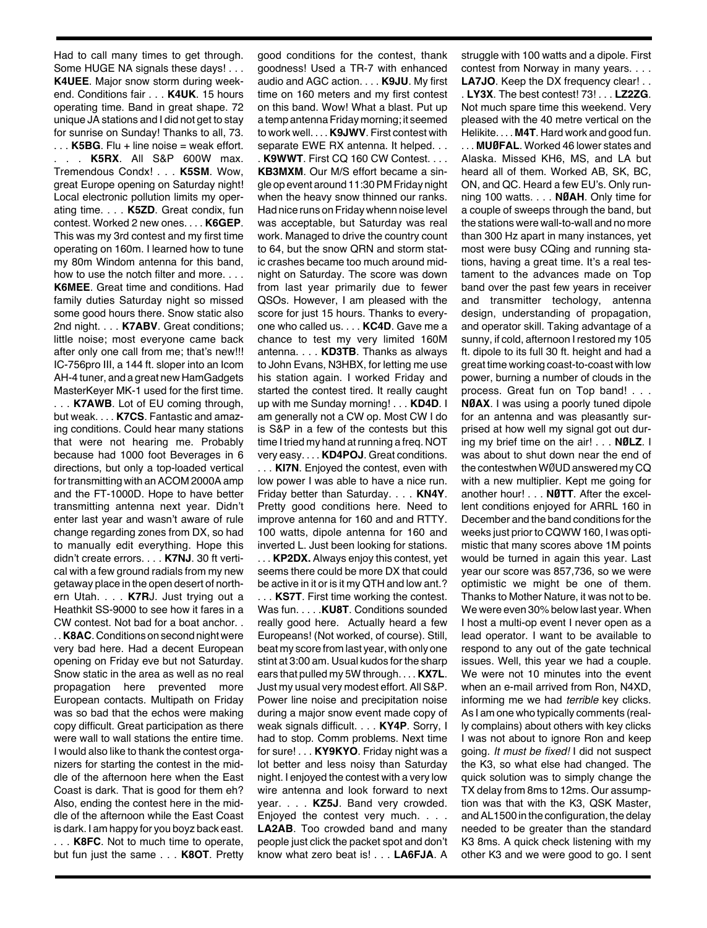Had to call many times to get through. Some HUGE NA signals these days! . . . **K4UEE**. Major snow storm during weekend. Conditions fair . . . **K4UK**. 15 hours operating time. Band in great shape. 72 unique JA stations and I did not get to stay for sunrise on Sunday! Thanks to all, 73. . . . **K5BG**. Flu + line noise = weak effort. **K5RX.** All S&P 600W max. Tremendous Condx! . . . **K5SM**. Wow, great Europe opening on Saturday night! Local electronic pollution limits my operating time. . . . **K5ZD**. Great condix, fun contest. Worked 2 new ones. . . . **K6GEP**. This was my 3rd contest and my first time operating on 160m. I learned how to tune my 80m Windom antenna for this band, how to use the notch filter and more. . . . **K6MEE**. Great time and conditions. Had family duties Saturday night so missed some good hours there. Snow static also 2nd night. . . . **K7ABV**. Great conditions; little noise; most everyone came back after only one call from me; that's new!!! IC-756pro III, a 144 ft. sloper into an Icom AH-4 tuner, and a great new HamGadgets MasterKeyer MK-1 used for the first time.

. . . **K7AWB**. Lot of EU coming through, but weak. . . . **K7CS**. Fantastic and amazing conditions. Could hear many stations that were not hearing me. Probably because had 1000 foot Beverages in 6 directions, but only a top-loaded vertical for transmitting with an ACOM 2000A amp and the FT-1000D. Hope to have better transmitting antenna next year. Didn't enter last year and wasn't aware of rule change regarding zones from DX, so had to manually edit everything. Hope this didn't create errors. . . . **K7NJ**. 30 ft vertical with a few ground radials from my new getaway place in the open desert of northern Utah. . . . **K7R**J. Just trying out a Heathkit SS-9000 to see how it fares in a CW contest. Not bad for a boat anchor. .

. . **K8AC**. Conditions on second night were very bad here. Had a decent European opening on Friday eve but not Saturday. Snow static in the area as well as no real propagation here prevented more European contacts. Multipath on Friday was so bad that the echos were making copy difficult. Great participation as there were wall to wall stations the entire time. I would also like to thank the contest organizers for starting the contest in the middle of the afternoon here when the East Coast is dark. That is good for them eh? Also, ending the contest here in the middle of the afternoon while the East Coast is dark. I am happy for you boyz back east. . . . **K8FC**. Not to much time to operate, but fun just the same . . . **K8OT**. Pretty

good conditions for the contest, thank goodness! Used a TR-7 with enhanced audio and AGC action. . . . **K9JU**. My first time on 160 meters and my first contest on this band. Wow! What a blast. Put up a temp antenna Friday morning; it seemed to work well. . . . **K9JWV**. First contest with separate EWE RX antenna. It helped. . .

. **K9WWT**. First CQ 160 CW Contest. . . . **KB3MXM**. Our M/S effort became a single op event around 11:30PM Friday night when the heavy snow thinned our ranks. Had nice runs on Friday whenn noise level was acceptable, but Saturday was real work. Managed to drive the country count to 64, but the snow QRN and storm static crashes became too much around midnight on Saturday. The score was down from last year primarily due to fewer QSOs. However, I am pleased with the score for just 15 hours. Thanks to everyone who called us. . . . **KC4D**. Gave me a chance to test my very limited 160M antenna. . . . **KD3TB**. Thanks as always to John Evans, N3HBX, for letting me use his station again. I worked Friday and started the contest tired. It really caught up with me Sunday morning! . . . **KD4D**. I am generally not a CW op. Most CW I do is S&P in a few of the contests but this time I tried my hand at running a freq. NOT very easy. . . . **KD4POJ**. Great conditions. . . . **KI7N**. Enjoyed the contest, even with low power I was able to have a nice run. Friday better than Saturday. . . . **KN4Y**. Pretty good conditions here. Need to improve antenna for 160 and and RTTY. 100 watts, dipole antenna for 160 and inverted L. Just been looking for stations.

. . . **KP2DX.** Always enjoy this contest, yet seems there could be more DX that could be active in it or is it my QTH and low ant.?

. . . **KS7T**. First time working the contest. Was fun. . . . .**KU8T**. Conditions sounded really good here. Actually heard a few Europeans! (Not worked, of course). Still, beat my score from last year, with only one stint at 3:00 am. Usual kudos for the sharp ears that pulled my 5W through. . . . **KX7L**. Just my usual very modest effort. All S&P. Power line noise and precipitation noise during a major snow event made copy of weak signals difficult. . . . **KY4P**. Sorry, I had to stop. Comm problems. Next time for sure! . . . **KY9KYO**. Friday night was a lot better and less noisy than Saturday night. I enjoyed the contest with a very low wire antenna and look forward to next year. . . . **KZ5J**. Band very crowded. Enjoyed the contest very much. . . . **LA2AB**. Too crowded band and many people just click the packet spot and don't know what zero beat is! . . . **LA6FJA**. A

struggle with 100 watts and a dipole. First contest from Norway in many years. . . . LA7JO. Keep the DX frequency clear! . . . **LY3X**. The best contest! 73! . . . **LZ2ZG**. Not much spare time this weekend. Very pleased with the 40 metre vertical on the Helikite. . . . **M4T**. Hard work and good fun. . . . **MUØFAL**. Worked 46 lower states and Alaska. Missed KH6, MS, and LA but heard all of them. Worked AB, SK, BC, ON, and QC. Heard a few EU's. Only running 100 watts. . . . **NØAH**. Only time for a couple of sweeps through the band, but the stations were wall-to-wall and no more than 300 Hz apart in many instances, yet most were busy CQing and running stations, having a great time. It's a real testament to the advances made on Top band over the past few years in receiver and transmitter techology, antenna design, understanding of propagation, and operator skill. Taking advantage of a sunny, if cold, afternoon I restored my 105 ft. dipole to its full 30 ft. height and had a great time working coast-to-coast with low power, burning a number of clouds in the process. Great fun on Top band! . . . **NØAX**. I was using a poorly tuned dipole for an antenna and was pleasantly surprised at how well my signal got out during my brief time on the air! . . . **NØLZ**. I was about to shut down near the end of the contestwhen WØUD answered my CQ with a new multiplier. Kept me going for another hour! . . . **NØTT**. After the excellent conditions enjoyed for ARRL 160 in December and the band conditions for the weeks just prior to CQWW 160, I was optimistic that many scores above 1M points would be turned in again this year. Last year our score was 857,736, so we were optimistic we might be one of them. Thanks to Mother Nature, it was not to be. We were even 30% below last year. When I host a multi-op event I never open as a lead operator. I want to be available to respond to any out of the gate technical issues. Well, this year we had a couple. We were not 10 minutes into the event when an e-mail arrived from Ron, N4XD, informing me we had *terrible* key clicks. As I am one who typically comments (really complains) about others with key clicks I was not about to ignore Ron and keep going. *It must be fixed!* I did not suspect the K3, so what else had changed. The quick solution was to simply change the TX delay from 8ms to 12ms. Our assumption was that with the K3, QSK Master, andAL1500 in the configuration, the delay needed to be greater than the standard K3 8ms. A quick check listening with my other K3 and we were good to go. I sent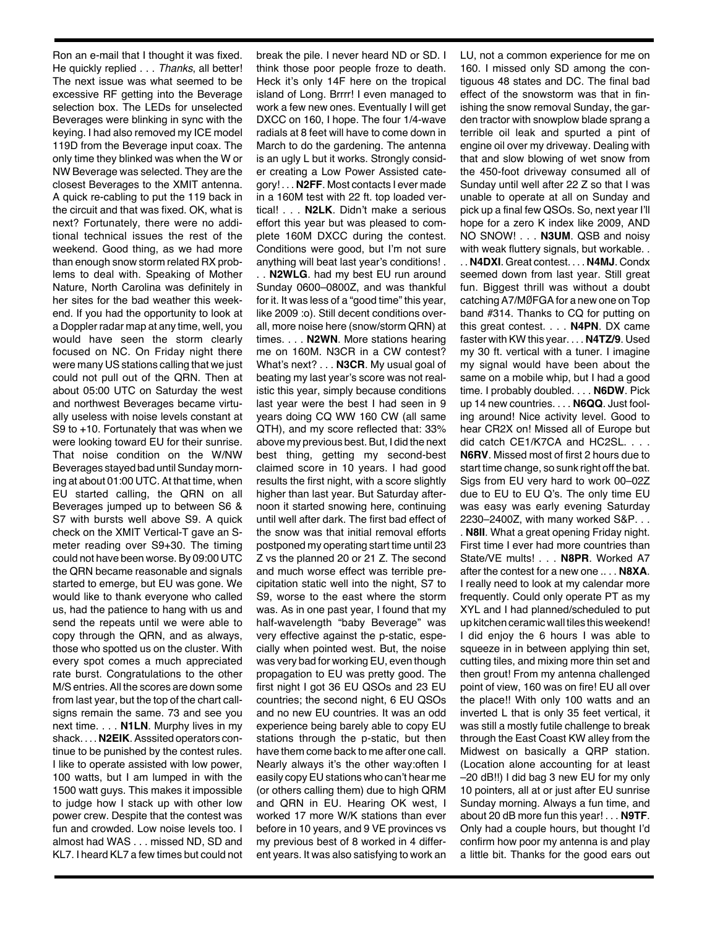Ron an e-mail that I thought it was fixed. He quickly replied . . . *Thanks*, all better! The next issue was what seemed to be excessive RF getting into the Beverage selection box. The LEDs for unselected Beverages were blinking in sync with the keying. I had also removed my ICE model 119D from the Beverage input coax. The only time they blinked was when the W or NW Beverage was selected. They are the closest Beverages to the XMIT antenna. A quick re-cabling to put the 119 back in the circuit and that was fixed. OK, what is next? Fortunately, there were no additional technical issues the rest of the weekend. Good thing, as we had more than enough snow storm related RX problems to deal with. Speaking of Mother Nature, North Carolina was definitely in her sites for the bad weather this weekend. If you had the opportunity to look at a Doppler radar map at any time, well, you would have seen the storm clearly focused on NC. On Friday night there were many US stations calling that we just could not pull out of the QRN. Then at about 05:00 UTC on Saturday the west and northwest Beverages became virtually useless with noise levels constant at S9 to +10. Fortunately that was when we were looking toward EU for their sunrise. That noise condition on the W/NW Beverages stayed bad until Sunday morning at about 01:00 UTC. At that time, when EU started calling, the QRN on all Beverages jumped up to between S6 & S7 with bursts well above S9. A quick check on the XMIT Vertical-T gave an Smeter reading over S9+30. The timing could not have been worse.By 09:00 UTC the QRN became reasonable and signals started to emerge, but EU was gone. We would like to thank everyone who called us, had the patience to hang with us and send the repeats until we were able to copy through the QRN, and as always, those who spotted us on the cluster. With every spot comes a much appreciated rate burst. Congratulations to the other M/S entries. All the scores are down some from last year, but the top of the chart callsigns remain the same. 73 and see you next time. . . . **N1LN**. Murphy lives in my shack. . . . **N2EIK**. Asssited operators continue to be punished by the contest rules. I like to operate assisted with low power, 100 watts, but I am lumped in with the 1500 watt guys. This makes it impossible to judge how I stack up with other low power crew. Despite that the contest was fun and crowded. Low noise levels too. I almost had WAS . . . missed ND, SD and KL7. I heard KL7 a few times but could not

break the pile. I never heard ND or SD. I think those poor people froze to death. Heck it's only 14F here on the tropical island of Long. Brrrr! I even managed to work a few new ones. Eventually I will get DXCC on 160, I hope. The four 1/4-wave radials at 8 feet will have to come down in March to do the gardening. The antenna is an ugly L but it works. Strongly consider creating a Low Power Assisted category! . . . **N2FF**. Most contacts I ever made in a 160M test with 22 ft. top loaded vertical! . . . **N2LK**. Didn't make a serious effort this year but was pleased to complete 160M DXCC during the contest. Conditions were good, but I'm not sure anything will beat last year's conditions! .

. . **N2WLG**. had my best EU run around Sunday 0600–0800Z, and was thankful for it. It was less of a "good time" this year, like 2009 :o). Still decent conditions overall, more noise here (snow/storm QRN) at times. . . . **N2WN**. More stations hearing me on 160M. N3CR in a CW contest? What's next? . . . **N3CR**. My usual goal of beating my last year's score was not realistic this year, simply because conditions last year were the best I had seen in 9 years doing CQ WW 160 CW (all same QTH), and my score reflected that: 33% above my previous best. But, I did the next best thing, getting my second-best claimed score in 10 years. I had good results the first night, with a score slightly higher than last year. But Saturday afternoon it started snowing here, continuing until well after dark. The first bad effect of the snow was that initial removal efforts postponed my operating start time until 23 Z vs the planned 20 or 21 Z. The second and much worse effect was terrible precipitation static well into the night, S7 to S9, worse to the east where the storm was. As in one past year, I found that my half-wavelength "baby Beverage" was very effective against the p-static, especially when pointed west. But, the noise was very bad for workingEU, even though propagation to EU was pretty good. The first night I got 36 EU QSOs and 23 EU countries; the second night, 6 EU QSOs and no new EU countries. It was an odd experience being barely able to copy EU stations through the p-static, but then have them come back to me after one call. Nearly always it's the other way:often I easily copyEU stations who can't hear me (or others calling them) due to high QRM and QRN in EU. Hearing OK west, I worked 17 more W/K stations than ever before in 10 years, and 9 VE provinces vs my previous best of 8 worked in 4 different years. It was also satisfying to work an LU, not a common experience for me on 160. I missed only SD among the contiguous 48 states and DC. The final bad effect of the snowstorm was that in finishing the snow removal Sunday, the garden tractor with snowplow blade sprang a terrible oil leak and spurted a pint of engine oil over my driveway. Dealing with that and slow blowing of wet snow from the 450-foot driveway consumed all of Sunday until well after 22 Z so that I was unable to operate at all on Sunday and pick up a final few QSOs. So, next year I'll hope for a zero K index like 2009, AND NO SNOW! . . . **N3UM**. QSB and noisy with weak fluttery signals, but workable. . . . **N4DXI**. Great contest. . . . **N4MJ**. Condx seemed down from last year. Still great fun. Biggest thrill was without a doubt catching A7/MØFGA for a new one on Top band #314. Thanks to CQ for putting on this great contest. . . . **N4PN**. DX came faster with KW this year. . . . **N4TZ/9**. Used my 30 ft. vertical with a tuner. I imagine my signal would have been about the same on a mobile whip, but I had a good time. I probably doubled. . . . **N6DW**. Pick up 14 new countries. . . . **N6QQ**. Just fooling around! Nice activity level. Good to hear CR2X on! Missed all of Europe but did catch CE1/K7CA and HC2SL. . . . **N6RV**. Missed most of first 2 hours due to start time change, so sunk right off the bat. Sigs from EU very hard to work 00–02Z due to EU to EU Q's. The only time EU was easy was early evening Saturday 2230–2400Z, with many worked S&P. . . . **N8II**. What a great opening Friday night. First time I ever had more countries than State/VE mults! . . . **N8PR**. Worked A7 after the contest for a new one .. . . **N8XA**. I really need to look at my calendar more frequently. Could only operate PT as my XYL and I had planned/scheduled to put up kitchen ceramic wall tiles this weekend! I did enjoy the 6 hours I was able to squeeze in in between applying thin set, cutting tiles, and mixing more thin set and then grout! From my antenna challenged point of view, 160 was on fire! EU all over the place!! With only 100 watts and an inverted L that is only 35 feet vertical, it was still a mostly futile challenge to break through the East Coast KW alley from the Midwest on basically a QRP station. (Location alone accounting for at least –20 dB!!) I did bag 3 new EU for my only 10 pointers, all at or just after EU sunrise Sunday morning. Always a fun time, and about 20 dB more fun this year! . . . **N9TF**. Only had a couple hours, but thought I'd confirm how poor my antenna is and play a little bit. Thanks for the good ears out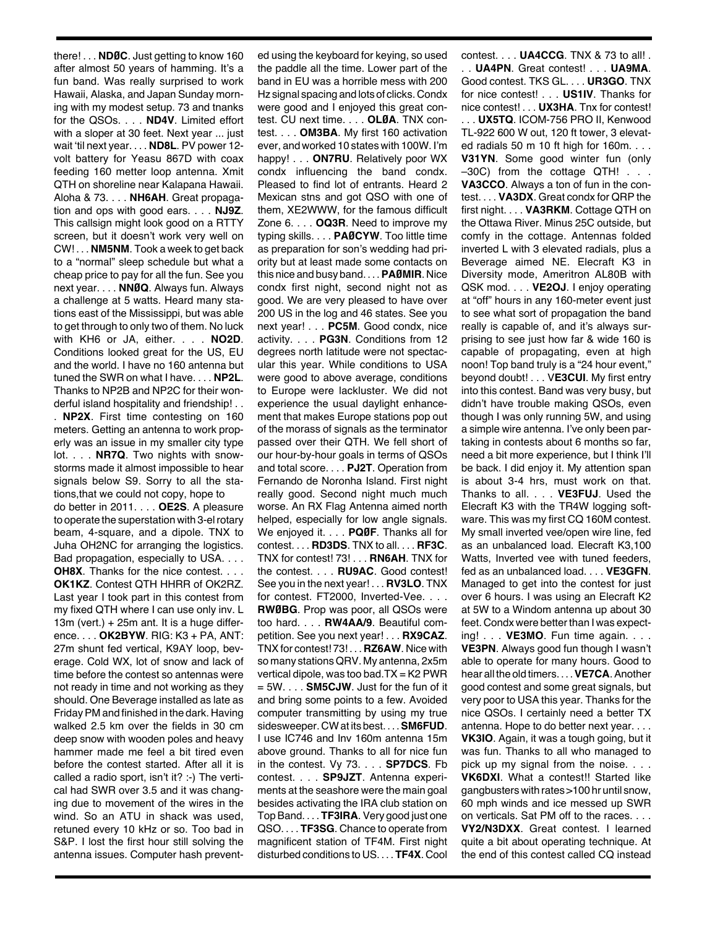there! . . . **NDØC**. Just getting to know 160 after almost 50 years of hamming. It's a fun band. Was really surprised to work Hawaii, Alaska, and Japan Sunday morning with my modest setup. 73 and tnanks for the QSOs. . . . **ND4V**. Limited effort with a sloper at 30 feet. Next year ... just wait 'til next year. . . . **ND8L**. PV power 12 volt battery for Yeasu 867D with coax feeding 160 metter loop antenna. Xmit QTH on shoreline near Kalapana Hawaii. Aloha & 73. . . . **NH6AH**. Great propagation and ops with good ears. . . . **NJ9Z**. This callsign might look good on a RTTY screen, but it doesn't work very well on CW! . . . **NM5NM**. Took a week to get back to a "normal" sleep schedule but what a cheap price to pay for all the fun. See you next year. . . . **NNØQ**. Always fun. Always a challenge at 5 watts. Heard many stations east of the Mississippi, but was able to get through to only two of them. No luck with KH6 or JA, either. . . . **NO2D**. Conditions looked great for the US, EU and the world. I have no 160 antenna but tuned the SWR on what I have. . . . **NP2L**. Thanks to NP2B and NP2C for their wonderful island hospitality and friendship! . . . **NP2X**. First time contesting on 160 meters. Getting an antenna to work properly was an issue in my smaller city type lot. . . . **NR7Q**. Two nights with snowstorms made it almost impossible to hear signals below S9. Sorry to all the stations,that we could not copy, hope to do better in 2011. . . . **OE2S**. A pleasure to operate the superstation with 3-elrotary beam, 4-square, and a dipole. TNX to Juha OH2NC for arranging the logistics. Bad propagation, especially to USA. . . . **OH8X**. Thanks for the nice contest. . . . **OK1KZ**. Contest QTH HHRR of OK2RZ. Last year I took part in this contest from my fixed QTH where I can use only inv. L 13m (vert.) + 25m ant. It is a huge difference. . . . **OK2BYW**. RIG: K3 + PA, ANT: 27m shunt fed vertical, K9AY loop, beverage. Cold WX, lot of snow and lack of time before the contest so antennas were not ready in time and not working as they should. One Beverage installed as late as FridayPM and finished in the dark. Having walked 2.5 km over the fields in 30 cm deep snow with wooden poles and heavy hammer made me feel a bit tired even before the contest started. After all it is called a radio sport, isn't it? :-) The vertical had SWR over 3.5 and it was changing due to movement of the wires in the wind. So an ATU in shack was used, retuned every 10 kHz or so. Too bad in S&P. I lost the first hour still solving the antenna issues. Computer hash prevented using the keyboard for keying, so used the paddle all the time. Lower part of the band in EU was a horrible mess with 200 Hz signal spacing and lots of clicks. Condx were good and I enjoyed this great contest. CU next time. . . . **OLØA**. TNX contest. . . . **OM3BA**. My first 160 activation ever, and worked 10 states with 100W. I'm happy! . . . **ON7RU**. Relatively poor WX condx influencing the band condx. Pleased to find lot of entrants. Heard 2 Mexican stns and got QSO with one of them, XE2WWW, for the famous difficult Zone 6. . . . **OQ3R**. Need to improve my typing skills. . . . **PAØCYW**. Too little time as preparation for son's wedding had priority but at least made some contacts on this nice and busy band. . . .**PAØMIR**. Nice condx first night, second night not as good. We are very pleased to have over 200 US in the log and 46 states. See you next year! . . . **PC5M**. Good condx, nice activity. . . . **PG3N**. Conditions from 12 degrees north latitude were not spectacular this year. While conditions to USA were good to above average, conditions to Europe were lackluster. We did not experience the usual daylight enhancement that makes Europe stations pop out of the morass of signals as the terminator passed over their QTH. We fell short of our hour-by-hour goals in terms of QSOs and total score. . . . **PJ2T**. Operation from Fernando de Noronha Island. First night really good. Second night much much worse. An RX Flag Antenna aimed north helped, especially for low angle signals. We enjoyed it. . . . **PQØF**. Thanks all for contest. . . . **RD3DS**. TNX to all. . . . **RF3C**. TNX for contest! 73! . . . **RN6AH**. TNX for the contest. . . . **RU9AC**. Good contest! See you in the next year! . . . **RV3LO**. TNX for contest. FT2000, Inverted-Vee. . . . **RWØBG**. Prop was poor, all QSOs were too hard. . . . **RW4AA/9**. Beautiful competition. See you next year! . . . **RX9CAZ**. TNXfor contest! 73! . . . **RZ6AW**. Nice with so many stations QRV. My antenna, 2x5m vertical dipole, was too bad. $TX = K2$  PWR = 5W. . . . **SM5CJW**. Just for the fun of it and bring some points to a few. Avoided computer transmitting by using my true sidesweeper. CWat its best. . . .**SM6FUD**. I use IC746 and Inv 160m antenna 15m above ground. Thanks to all for nice fun in the contest. Vy 73. . . . **SP7DCS**. Fb contest. . . . **SP9JZT**. Antenna experiments at the seashore were the main goal besides activating the IRA club station on Top Band. . . . **TF3IRA**. Very good just one QSO. . . . **TF3SG**. Chance to operate from magnificent station of TF4M. First night disturbed conditions to US. . . . **TF4X**. Cool

contest. . . . **UA4CCG**. TNX & 73 to all! . . . **UA4PN**. Great contest! . . . **UA9MA**. Good contest. TKS GL. . . . **UR3GO**. TNX for nice contest! . . . **US1IV**. Thanks for nice contest! . . . **UX3HA**. Tnx for contest! . . . **UX5TQ**. ICOM-756 PRO II, Kenwood TL-922 600 W out, 120 ft tower, 3 elevated radials 50 m 10 ft high for 160m. . . . **V31YN**. Some good winter fun (only –30C) from the cottage QTH! . . . **VA3CCO**. Always a ton of fun in the contest. . . . **VA3DX**. Great condx for QRP the first night. . . . **VA3RKM**. Cottage QTH on the Ottawa River. Minus 25C outside, but comfy in the cottage. Antennas folded inverted L with 3 elevated radials, plus a Beverage aimed NE. Elecraft K3 in Diversity mode, Ameritron AL80B with QSK mod. . . . **VE2OJ**. I enjoy operating at "off" hours in any 160-meter event just to see what sort of propagation the band really is capable of, and it's always surprising to see just how far & wide 160 is capable of propagating, even at high noon! Top band truly is a "24 hour event," beyond doubt! . . . V**E3CUI**. My first entry into this contest. Band was very busy, but didn't have trouble making QSOs, even though I was only running 5W, and using a simple wire antenna. I've only been partaking in contests about 6 months so far, need a bit more experience, but I think I'll be back. I did enjoy it. My attention span is about 3-4 hrs, must work on that. Thanks to all. . . . **VE3FUJ**. Used the Elecraft K3 with the TR4W logging software. This was my first CQ 160M contest. My small inverted vee/open wire line, fed as an unbalanced load. Elecraft K3,100 Watts, Inverted vee with tuned feeders, fed as an unbalanced load. . . . **VE3GFN**. Managed to get into the contest for just over 6 hours. I was using an Elecraft K2 at 5W to a Windom antenna up about 30 feet. Condx were better than I was expecting! . . . **VE3MO**. Fun time again. . . . **VE3PN**. Always good fun though I wasn't able to operate for many hours. Good to hear all the old timers. . . .**VE7CA**.Another good contest and some great signals, but very poor to USA this year. Thanks for the nice QSOs. I certainly need a better TX antenna. Hope to do better next year. . . . **VK3IO**. Again, it was a tough going, but it was fun. Thanks to all who managed to pick up my signal from the noise. . . . **VK6DXI**. What a contest!! Started like gangbusters with rates >100 hr until snow, 60 mph winds and ice messed up SWR on verticals. Sat PM off to the races. . . . **VY2/N3DXX**. Great contest. I learned quite a bit about operating technique. At the end of this contest called CQ instead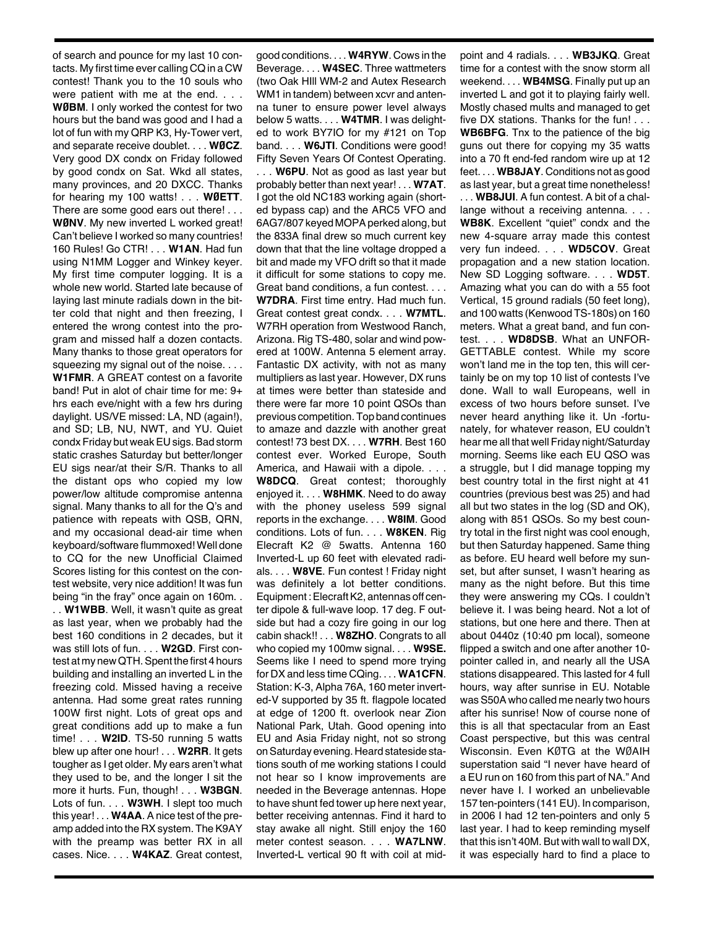of search and pounce for my last 10 contacts. My first time ever calling CQ in a CW contest! Thank you to the 10 souls who were patient with me at the end. . . . **WØBM**. I only worked the contest for two hours but the band was good and I had a lot of fun with my QRP K3, Hy-Tower vert, and separate receive doublet. . . . **WØCZ**. Very good DX condx on Friday followed by good condx on Sat. Wkd all states, many provinces, and 20 DXCC. Thanks for hearing my 100 watts! . . . **WØETT**. There are some good ears out there! . . . **WØNV**. My new inverted L worked great! Can't believe I worked so many countries! 160 Rules! Go CTR! . . . **W1AN**. Had fun using N1MM Logger and Winkey keyer. My first time computer logging. It is a whole new world. Started late because of laying last minute radials down in the bitter cold that night and then freezing, I entered the wrong contest into the program and missed half a dozen contacts. Many thanks to those great operators for squeezing my signal out of the noise. . . . **W1FMR**. A GREAT contest on a favorite band! Put in alot of chair time for me: 9+ hrs each eve/night with a few hrs during daylight. US/VE missed: LA, ND (again!), and SD; LB, NU, NWT, and YU. Quiet condx Friday but weak EU sigs. Bad storm static crashes Saturday but better/longer EU sigs near/at their S/R. Thanks to all the distant ops who copied my low power/low altitude compromise antenna signal. Many thanks to all for the Q's and patience with repeats with QSB, QRN,

and my occasional dead-air time when keyboard/software flummoxed! Well done to CQ for the new Unofficial Claimed Scores listing for this contest on the contest website, very nice addition! It was fun being "in the fray" once again on 160m. .

. . **W1WBB**. Well, it wasn't quite as great as last year, when we probably had the best 160 conditions in 2 decades, but it was still lots of fun. . . . **W2GD**. First contest at my newQTH.Spent the first 4 hours building and installing an inverted L in the freezing cold. Missed having a receive antenna. Had some great rates running 100W first night. Lots of great ops and great conditions add up to make a fun time! . . . **W2ID**. TS-50 running 5 watts blew up after one hour! . . . **W2RR**. It gets tougher as I get older. My ears aren't what they used to be, and the longer I sit the more it hurts. Fun, though! . . . **W3BGN**. Lots of fun. . . . **W3WH**. I slept too much this year! . . . **W4AA**. A nice test of the preamp added into the RX system. The K9AY with the preamp was better RX in all cases. Nice. . . . **W4KAZ**. Great contest,

good conditions. . . . **W4RYW**. Cows in the Beverage. . . . **W4SEC**. Three wattmeters (two Oak HIll WM-2 and Autex Research WM1 in tandem) between xcvr and antenna tuner to ensure power level always below 5 watts. . . . **W4TMR**. I was delighted to work BY7IO for my #121 on Top band. . . . **W6JTI**. Conditions were good! Fifty Seven Years Of Contest Operating.

. . . **W6PU**. Not as good as last year but probably better than next year! . . . **W7AT**. I got the old NC183 working again (shorted bypass cap) and the ARC5 VFO and 6AG7/807 keyed MOPAperked along, but the 833A final drew so much current key down that that the line voltage dropped a bit and made my VFO drift so that it made it difficult for some stations to copy me. Great band conditions, a fun contest. . . . **W7DRA**. First time entry. Had much fun.

Great contest great condx. . . . **W7MTL**. W7RH operation from Westwood Ranch, Arizona. Rig TS-480, solar and wind powered at 100W. Antenna 5 element array. Fantastic DX activity, with not as many multipliers as last year. However, DX runs at times were better than stateside and there were far more 10 point QSOs than previous competition.Top band continues to amaze and dazzle with another great contest! 73 best DX. . . . **W7RH**. Best 160 contest ever. Worked Europe, South America, and Hawaii with a dipole. . . . **W8DCQ**. Great contest; thoroughly enjoyed it. . . . **W8HMK**. Need to do away with the phoney useless 599 signal reports in the exchange. . . . **W8IM**. Good conditions. Lots of fun. . . . **W8KEN**. Rig Elecraft K2 @ 5watts. Antenna 160 Inverted-L up 60 feet with elevated radials. . . . **W8VE**. Fun contest ! Friday night was definitely a lot better conditions. Equipment: Elecraft K2, antennas off center dipole & full-wave loop. 17 deg. F outside but had a cozy fire going in our log cabin shack!! . . . **W8ZHO**. Congrats to all who copied my 100mw signal. . . . **W9SE.** Seems like I need to spend more trying for DX and less time CQing. . . . **WA1CFN**. Station: K-3, Alpha 76A, 160 meter inverted-V supported by 35 ft. flagpole located at edge of 1200 ft. overlook near Zion National Park, Utah. Good opening into EU and Asia Friday night, not so strong on Saturday evening. Heard stateside stations south of me working stations I could not hear so I know improvements are needed in the Beverage antennas. Hope to have shunt fed tower up here next year, better receiving antennas. Find it hard to stay awake all night. Still enjoy the 160 meter contest season. . . . **WA7LNW**. Inverted-L vertical 90 ft with coil at mid-

point and 4 radials. . . . **WB3JKQ**. Great time for a contest with the snow storm all weekend. . . . **WB4MSG**. Finally put up an inverted L and got it to playing fairly well. Mostly chased mults and managed to get five DX stations. Thanks for the fun! . . . **WB6BFG**. Tnx to the patience of the big guns out there for copying my 35 watts into a 70 ft end-fed random wire up at 12 feet. . . . **WB8JAY**. Conditions not as good as last year, but a great time nonetheless! . . . **WB8JUI**. A fun contest. A bit of a challange without a receiving antenna. . . . **WB8K**. Excellent "quiet" condx and the new 4-square array made this contest very fun indeed. . . . **WD5COV**. Great propagation and a new station location. New SD Logging software. . . . **WD5T**. Amazing what you can do with a 55 foot Vertical, 15 ground radials (50 feet long), and 100 watts (Kenwood TS-180s) on 160 meters. What a great band, and fun contest. . . . **WD8DSB**. What an UNFOR-GETTABLE contest. While my score won't land me in the top ten, this will certainly be on my top 10 list of contests I've done. Wall to wall Europeans, well in excess of two hours before sunset. I've never heard anything like it. Un -fortunately, for whatever reason, EU couldn't hear me all that well Friday night/Saturday morning. Seems like each EU QSO was a struggle, but I did manage topping my best country total in the first night at 41 countries (previous best was 25) and had all but two states in the log (SD and OK), along with 851 QSOs. So my best country total in the first night was cool enough, but then Saturday happened. Same thing as before. EU heard well before my sunset, but after sunset, I wasn't hearing as many as the night before. But this time they were answering my CQs. I couldn't believe it. I was being heard. Not a lot of stations, but one here and there. Then at about 0440z (10:40 pm local), someone flipped a switch and one after another 10 pointer called in, and nearly all the USA stations disappeared. This lasted for 4 full hours, way after sunrise in EU. Notable was S50A who called me nearly two hours after his sunrise! Now of course none of this is all that spectacular from an East Coast perspective, but this was central Wisconsin. Even KØTG at the WØAIH superstation said "I never have heard of a EU run on 160 from this part of NA." And never have I. I worked an unbelievable 157 ten-pointers (141EU). In comparison, in 2006 I had 12 ten-pointers and only 5 last year. I had to keep reminding myself that this isn't 40M. But with wall to wall DX, it was especially hard to find a place to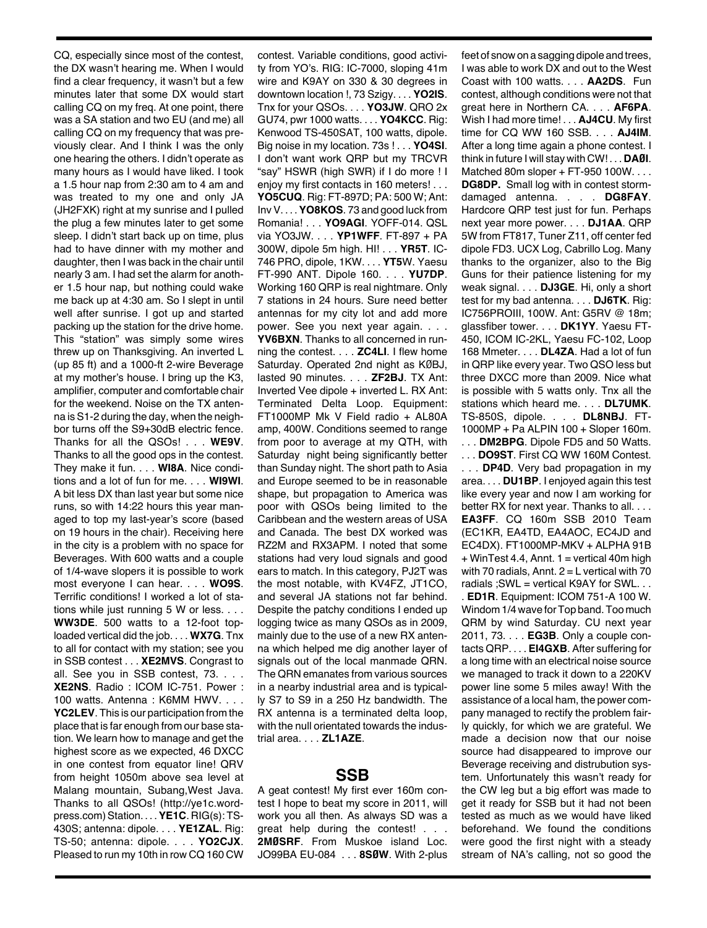CQ, especially since most of the contest, the DX wasn't hearing me. When I would find a clear frequency, it wasn't but a few minutes later that some DX would start calling CQ on my freq. At one point, there was a SA station and two EU (and me) all calling CQ on my frequency that was previously clear. And I think I was the only one hearing the others. I didn't operate as many hours as I would have liked. I took a 1.5 hour nap from 2:30 am to 4 am and was treated to my one and only JA (JH2FXK) right at my sunrise and I pulled the plug a few minutes later to get some sleep. I didn't start back up on time, plus had to have dinner with my mother and daughter, then I was back in the chair until nearly 3 am. I had set the alarm for another 1.5 hour nap, but nothing could wake me back up at 4:30 am. So I slept in until well after sunrise. I got up and started packing up the station for the drive home. This "station" was simply some wires threw up on Thanksgiving. An inverted L (up 85 ft) and a 1000-ft 2-wire Beverage at my mother's house. I bring up the K3, amplifier, computer and comfortable chair for the weekend. Noise on the TX antenna is S1-2 during the day, when the neighbor turns off the S9+30dB electric fence. Thanks for all the QSOs! . . . **WE9V**. Thanks to all the good ops in the contest. They make it fun. . . . **WI8A**. Nice conditions and a lot of fun for me. . . . **WI9WI**. A bit less DX than last year but some nice runs, so with 14:22 hours this year managed to top my last-year's score (based on 19 hours in the chair). Receiving here in the city is a problem with no space for Beverages. With 600 watts and a couple of 1/4-wave slopers it is possible to work most everyone I can hear. . . . **WO9S**. Terrific conditions! I worked a lot of stations while just running 5 W or less. . . . **WW3DE**. 500 watts to a 12-foot toploaded vertical did the job. . . . **WX7G**. Tnx to all for contact with my station; see you in SSB contest . . . **XE2MVS**. Congrast to all. See you in SSB contest, 73. . . . **XE2NS**. Radio : ICOM IC-751. Power : 100 watts. Antenna : K6MM HWV. . . . **YC2LEV**. This is our participation from the place that is far enough from our base station. We learn how to manage and get the highest score as we expected, 46 DXCC in one contest from equator line! QRV from height 1050m above sea level at Malang mountain, Subang,West Java. Thanks to all QSOs! (http://ye1c.wordpress.com)Station. . . .**YE1C**. RIG(s): TS-430S; antenna: dipole. . . . **YE1ZAL**. Rig: TS-50; antenna: dipole. . . . **YO2CJX**. Pleased to run my 10th in row CQ 160 CW

contest. Variable conditions, good activity from YO's. RIG: IC-7000, sloping 41m wire and K9AY on 330 & 30 degrees in downtown location !, 73 Szigy. . . . **YO2IS**. Tnx for your QSOs. . . . **YO3JW**. QRO 2x GU74, pwr 1000 watts. . . . **YO4KCC**. Rig: Kenwood TS-450SAT, 100 watts, dipole. Big noise in my location. 73s ! . . . **YO4SI**. I don't want work QRP but my TRCVR "say" HSWR (high SWR) if I do more ! I enjoy my first contacts in 160 meters! . . . **YO5CUQ**. Rig: FT-897D; PA: 500 W; Ant: InvV. . . .**YO8KOS**. 73 and good luck from Romania! . . . **YO9AGI**. YOFF-014. QSL via YO3JW. . . . **YP1WFF**. FT-897 + PA 300W, dipole 5m high. HI! . . . **YR5T**. IC-746 PRO, dipole, 1KW. . . . **YT5**W. Yaesu FT-990 ANT. Dipole 160. . . . **YU7DP**. Working 160 QRP is real nightmare. Only 7 stations in 24 hours. Sure need better antennas for my city lot and add more power. See you next year again. . . . **YV6BXN**. Thanks to all concerned in running the contest. . . . **ZC4LI**. I flew home Saturday. Operated 2nd night as KØBJ, lasted 90 minutes. . . . **ZF2BJ**. TX Ant: Inverted Vee dipole + inverted L. RX Ant: Terminated Delta Loop. Equipment: FT1000MP Mk V Field radio + AL80A amp, 400W. Conditions seemed to range from poor to average at my QTH, with Saturday night being significantly better than Sunday night. The short path to Asia and Europe seemed to be in reasonable shape, but propagation to America was poor with QSOs being limited to the Caribbean and the western areas of USA and Canada. The best DX worked was RZ2M and RX3APM. I noted that some stations had very loud signals and good ears to match. In this category, PJ2T was the most notable, with KV4FZ, JT1CO, and several JA stations not far behind. Despite the patchy conditions I ended up logging twice as many QSOs as in 2009, mainly due to the use of a new RX antenna which helped me dig another layer of signals out of the local manmade QRN. The QRN emanates from various sources in a nearby industrial area and is typically S7 to S9 in a 250 Hz bandwidth. The RX antenna is a terminated delta loop, with the null orientated towards the industrial area. . . . **ZL1AZE**.

## **SSB**

A geat contest! My first ever 160m contest I hope to beat my score in 2011, will work you all then. As always SD was a great help during the contest! . . . **2MØSRF**. From Muskoe island Loc. JO99BA EU-084 . . . **8SØW**. With 2-plus feet of snow on a sagging dipole and trees, I was able to work DX and out to the West Coast with 100 watts. . . . **AA2DS**. Fun contest, although conditions were not that great here in Northern CA. . . . **AF6PA**. Wish I had more time! . . . **AJ4CU**. My first time for CQ WW 160 SSB. . . . **AJ4IM**. After a long time again a phone contest. I think in future I will stay with CW! . . . **DAØI**. Matched 80m sloper + FT-950 100W. . . . **DG8DP.** Small log with in contest stormdamaged antenna. . . . **DG8FAY**. Hardcore QRP test just for fun. Perhaps next year more power. . . . **DJ1AA**. QRP 5W from FT817, Tuner Z11, off center fed dipole FD3. UCX Log, Cabrillo Log. Many thanks to the organizer, also to the Big Guns for their patience listening for my weak signal. . . . **DJ3GE**. Hi, only a short test for my bad antenna. . . . **DJ6TK**. Rig: IC756PROIII, 100W. Ant: G5RV @ 18m; glassfiber tower. . . . **DK1YY**. Yaesu FT-450, ICOM IC-2KL, Yaesu FC-102, Loop 168 Mmeter. . . . **DL4ZA**. Had a lot of fun in QRP like every year. Two QSO less but three DXCC more than 2009. Nice what is possible with 5 watts only. Tnx all the stations which heard me. . . . **DL7UMK**. TS-850S, dipole. . . . **DL8NBJ**. FT-1000MP + Pa ALPIN 100 + Sloper 160m. . . . **DM2BPG**. Dipole FD5 and 50 Watts.

. . . **DO9ST**. First CQ WW 160M Contest. . . . **DP4D**. Very bad propagation in my area. . . . **DU1BP**. I enjoyed again this test like every year and now I am working for better RX for next year. Thanks to all. . . . **EA3FF**. CQ 160m SSB 2010 Team (EC1KR, EA4TD, EA4AOC, EC4JD and EC4DX). FT1000MP-MKV + ALPHA 91B  $+$  WinTest 4.4, Annt. 1 = vertical 40m high with 70 radials, Annt.  $2 = L$  vertical with 70 radials ; SWL = vertical K9AY for SWL. . .

. **ED1R**. Equipment: ICOM 751-A 100 W. Windom 1/4 wave for Top band. Too much QRM by wind Saturday. CU next year 2011, 73. . . . **EG3B**. Only a couple contacts QRP. . . . **EI4GXB**. After suffering for a long time with an electrical noise source we managed to track it down to a 220KV power line some 5 miles away! With the assistance of a local ham, the power company managed to rectify the problem fairly quickly, for which we are grateful. We made a decision now that our noise source had disappeared to improve our Beverage receiving and distrubution system. Unfortunately this wasn't ready for the CW leg but a big effort was made to get it ready for SSB but it had not been tested as much as we would have liked beforehand. We found the conditions were good the first night with a steady stream of NA's calling, not so good the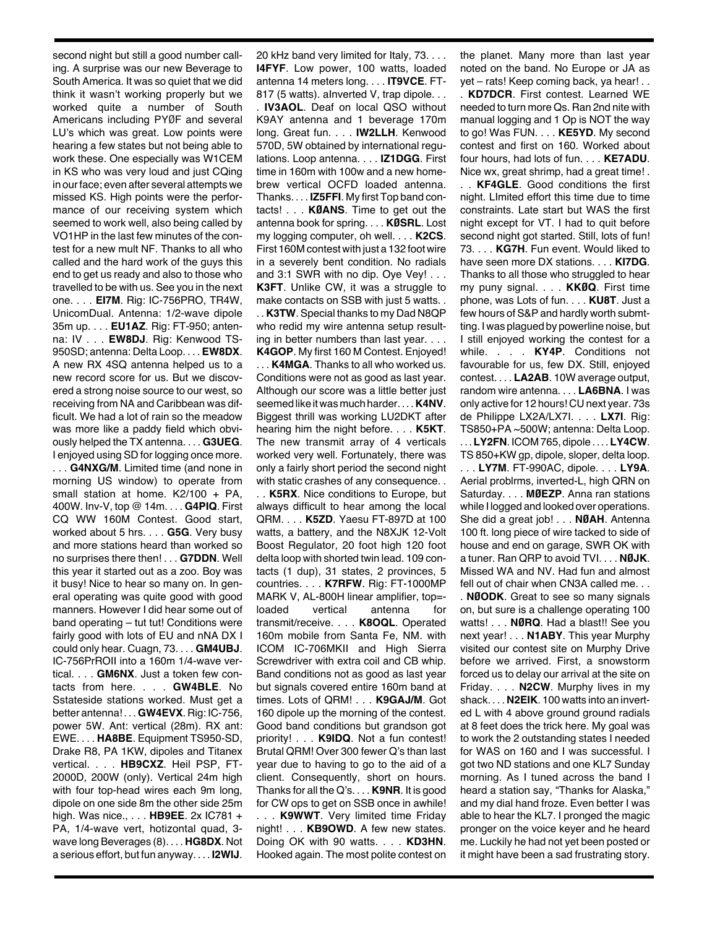second night but still a good number calling. A surprise was our new Beverage to South America. It was so quiet that we did think it wasn't working properly but we worked quite a number of South Americans including PYØF and several LU's which was great. Low points were hearing a few states but not being able to work these. One especially was W1CEM in KS who was very loud and just CQing in ourface; even after several attempts we missed KS. High points were the performance of our receiving system which seemed to work well, also being called by VO1HP in the last few minutes of the contest for a new mult NF. Thanks to all who called and the hard work of the guys this end to get us ready and also to those who travelled to be with us. See you in the next one. . . . **EI7M**. Rig: IC-756PRO, TR4W, UnicomDual. Antenna: 1/2-wave dipole 35m up. . . . **EU1AZ**. Rig: FT-950; antenna: IV . . . **EW8DJ**. Rig: Kenwood TS-950SD; antenna: Delta Loop. . . . **EW8DX**. A new RX 4SQ antenna helped us to a new record score for us. But we discovered a strong noise source to our west, so receiving from NA and Caribbean was difficult. We had a lot of rain so the meadow was more like a paddy field which obviously helped the TX antenna. . . . **G3UEG**. I enjoyed using SD for logging once more.

. . . **G4NXG/M**. Limited time (and none in morning US window) to operate from small station at home. K2/100 + PA, 400W. Inv-V, top @ 14m. . . . **G4PIQ**. First CQ WW 160M Contest. Good start, worked about 5 hrs. . . . **G5G**. Very busy and more stations heard than worked so no surprises there then! . . . **G7DDN**. Well this year it started out as a zoo. Boy was it busy! Nice to hear so many on. In general operating was quite good with good manners. However I did hear some out of band operating – tut tut! Conditions were fairly good with lots of EU and nNA DX I could only hear. Cuagn, 73. . . . **GM4UBJ**. IC-756PrROII into a 160m 1/4-wave vertical. . . . **GM6NX**. Just a token few contacts from here. . . . **GW4BLE**. No Sstateside stations worked. Must get a better antenna! . . . **GW4EVX**. Rig: IC-756, power 5W. Ant: vertical (28m). RX ant: EWE. . . . **HA8BE**. Equipment TS950-SD, Drake R8, PA 1KW, dipoles and Titanex vertical. . . . **HB9CXZ**. Heil PSP, FT-2000D, 200W (only). Vertical 24m high with four top-head wires each 9m long, dipole on one side 8m the other side 25m high. Was nice., . . . **HB9EE**. 2x IC781 + PA, 1/4-wave vert, hotizontal quad, 3 wave long Beverages (8). . . . **HG8DX**. Not a serious effort, but fun anyway. . . . **I2WIJ**.

20 kHz band very limited for Italy, 73. . . . **I4FYF**. Low power, 100 watts, loaded antenna 14 meters long. . . . **IT9VCE**. FT-817 (5 watts). alnverted V, trap dipole. . . . **IV3AOL**. Deaf on local QSO without K9AY antenna and 1 beverage 170m long. Great fun. . . . **IW2LLH**. Kenwood 570D, 5W obtained by international regulations. Loop antenna. . . . **IZ1DGG**. First time in 160m with 100w and a new homebrew vertical OCFD loaded antenna. Thanks. . . . **IZ5FFI**. My first Top band contacts! . . . **KØANS**. Time to get out the antenna book for spring. . . . **KØSRL**. Lost my logging computer, oh well. . . . **K2CS**. First 160M contest with just a 132 foot wire in a severely bent condition. No radials and 3:1 SWR with no dip. Oye Vey! . . . **K3FT**. Unlike CW, it was a struggle to make contacts on SSB with just 5 watts... . . **K3TW**. Special thanks to my Dad N8QP who redid my wire antenna setup resulting in better numbers than last year. . . .

**K4GOP**. My first 160 M Contest. Enjoyed! . . . **K4MGA**. Thanks to all who worked us. Conditions were not as good as last year. Although our score was a little better just seemed like itwas much harder. . . .**K4NV**. Biggest thrill was working LU2DKT after hearing him the night before. . . . **K5KT**. The new transmit array of 4 verticals worked very well. Fortunately, there was only a fairly short period the second night with static crashes of any consequence. . . . **K5RX**. Nice conditions to Europe, but always difficult to hear among the local QRM. . . . **K5ZD**. Yaesu FT-897D at 100 watts, a battery, and the N8XJK 12-Volt Boost Regulator, 20 foot high 120 foot delta loop with shorted twin lead. 109 contacts (1 dup), 31 states, 2 provinces, 5 countries. . . . **K7RFW**. Rig: FT-1000MP MARK V, AL-800H linear amplifier, top=loaded vertical antenna for transmit/receive. . . . **K8OQL**. Operated 160m mobile from Santa Fe, NM. with ICOM IC-706MKII and High Sierra Screwdriver with extra coil and CB whip. Band conditions not as good as last year but signals covered entire 160m band at times. Lots of QRM! . . . **K9GAJ/M**. Got 160 dipole up the morning of the contest. Good band conditions but grandson got priority! . . . **K9IDQ**. Not a fun contest! Brutal QRM! Over 300 fewer Q's than last year due to having to go to the aid of a client. Consequently, short on hours. Thanks for all the Q's. . . . **K9NR**. It is good for CW ops to get on SSB once in awhile! . . . **K9WWT**. Very limited time Friday night! . . . **KB9OWD**. A few new states. Doing OK with 90 watts. . . . **KD3HN**. Hooked again. The most polite contest on

the planet. Many more than last year noted on the band. No Europe or JA as yet – rats! Keep coming back, ya hear! . . . **KD7DCR**. First contest. Learned WE needed to turn more Qs. Ran 2nd nite with

manual logging and 1 Op is NOT the way to go! Was FUN. . . . **KE5YD**. My second contest and first on 160. Worked about four hours, had lots of fun. . . . **KE7ADU**. Nice wx, great shrimp, had a great time! .

. . **KF4GLE**. Good conditions the first night. LImited effort this time due to time constraints. Late start but WAS the first night except for VT. I had to quit before second night got started. Still, lots of fun! 73. . . . **KG7H**. Fun event. Would liked to have seen more DX stations. . . . **KI7DG**. Thanks to all those who struggled to hear my puny signal. . . . **KKØQ**. First time phone, was Lots of fun. . . . **KU8T**. Just a few hours of S&P and hardly worth submtting. I was plagued by powerline noise, but I still enjoyed working the contest for a while. . . . **KY4P**. Conditions not favourable for us, few DX. Still, enjoyed contest. . . . **LA2AB**. 10W average output, random wire antenna. . . . **LA6BNA**. I was only active for 12 hours! CU next year. 73s de Philippe LX2A/LX7I. . . . **LX7I**. Rig: TS850+PA ~500W; antenna: Delta Loop.

. . .**LY2FN**. ICOM 765, dipole . . . .**LY4CW**. TS 850+KW gp, dipole, sloper, delta loop. . . . **LY7M**. FT-990AC, dipole. . . . **LY9A**.

Aerial problrms, inverted-L, high QRN on Saturday. . . . **MØEZP**. Anna ran stations while I logged and looked over operations. She did a great job! . . . **NØAH**. Antenna 100 ft. long piece of wire tacked to side of house and end on garage, SWR OK with a tuner. Ran QRP to avoid TVI. . . . **NØJK**. Missed WA and NV. Had fun and almost fell out of chair when CN3A called me. . .

. **NØODK**. Great to see so many signals on, but sure is a challenge operating 100 watts! . . . **NØRQ**. Had a blast!! See you next year! . . . **N1ABY**. This year Murphy visited our contest site on Murphy Drive before we arrived. First, a snowstorm forced us to delay our arrival at the site on Friday. . . . **N2CW**. Murphy lives in my shack. . . . **N2EIK**. 100 watts into an inverted L with 4 above ground ground radials at 8 feet does the trick here. My goal was to work the 2 outstanding states I needed for WAS on 160 and I was successful. I got two ND stations and one KL7 Sunday morning. As I tuned across the band I heard a station say, "Thanks for Alaska," and my dial hand froze. Even better I was able to hear the KL7. I pronged the magic pronger on the voice keyer and he heard me. Luckily he had not yet been posted or it might have been a sad frustrating story.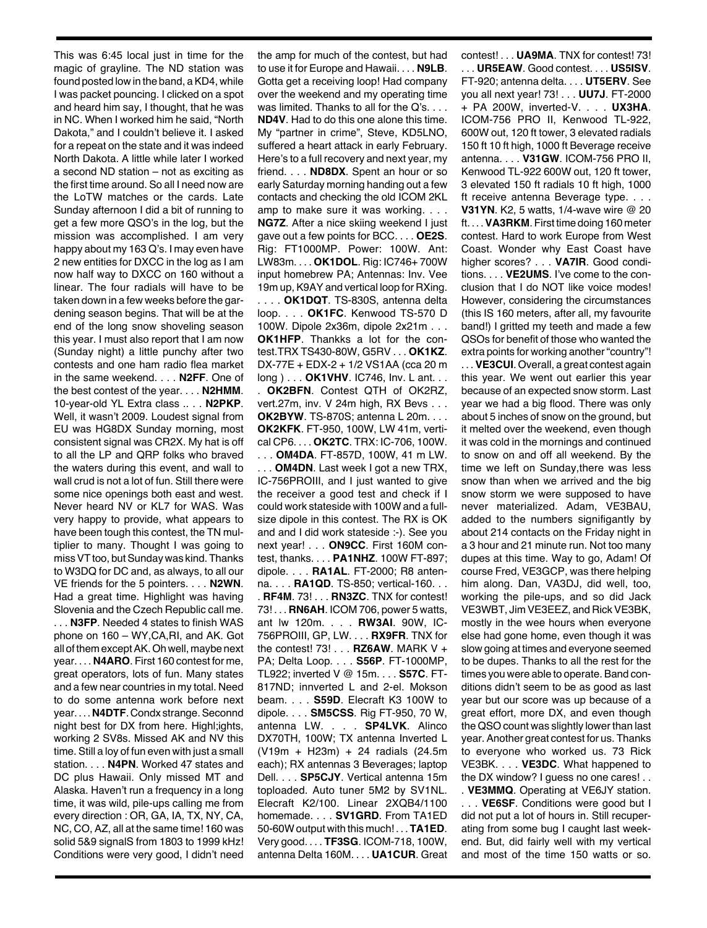This was 6:45 local just in time for the magic of grayline. The ND station was found posted low in the band, aKD4, while I was packet pouncing. I clicked on a spot and heard him say, I thought, that he was in NC. When I worked him he said, "North Dakota," and I couldn't believe it. I asked for a repeat on the state and it was indeed North Dakota. A little while later I worked a second ND station – not as exciting as the first time around. So all I need now are the LoTW matches or the cards. Late Sunday afternoon I did a bit of running to get a few more QSO's in the log, but the mission was accomplished. I am very happy about my 163 Q's. I may even have 2 new entities for DXCC in the log as I am now half way to DXCC on 160 without a linear. The four radials will have to be taken down in a few weeks before the gardening season begins. That will be at the end of the long snow shoveling season this year. I must also report that I am now (Sunday night) a little punchy after two contests and one ham radio flea market in the same weekend. . . . **N2FF**. One of the best contest of the year. . . . **N2HMM**. 10-year-old YL Extra class .. . . **N2PKP**. Well, it wasn't 2009. Loudest signal from EU was HG8DX Sunday morning, most consistent signal was CR2X. My hat is off to all the LP and QRP folks who braved the waters during this event, and wall to wall crud is not a lot of fun. Still there were some nice openings both east and west. Never heard NV or KL7 for WAS. Was very happy to provide, what appears to have been tough this contest, the TN multiplier to many. Thought I was going to miss VT too, but Sunday was kind. Thanks to W3DQ for DC and, as always, to all our VE friends for the 5 pointers. . . . **N2WN**. Had a great time. Highlight was having Slovenia and the Czech Republic call me. . . . **N3FP**. Needed 4 states to finish WAS phone on 160 – WY,CA,RI, and AK. Got all of them exceptAK.Oh well, maybe next year. . . . **N4ARO**. First 160 contest for me, great operators, lots of fun. Many states and a few near countries in my total. Need to do some antenna work before next year. . . .**N4DTF**.Condx strange.Seconnd night best for DX from here. Highl;ights, working 2 SV8s. Missed AK and NV this time. Still a loy of fun even with just a small station. . . . **N4PN**. Worked 47 states and DC plus Hawaii. Only missed MT and Alaska. Haven't run a frequency in a long time, it was wild, pile-ups calling me from every direction : OR, GA, IA, TX, NY, CA, NC, CO, AZ, all at the same time! 160 was solid 5&9 signalS from 1803 to 1999 kHz! Conditions were very good, I didn't need

the amp for much of the contest, but had to use it for Europe and Hawaii. . . . **N9LB**. Gotta get a receiving loop! Had company over the weekend and my operating time was limited. Thanks to all for the Q's. . . . **ND4V**. Had to do this one alone this time. My "partner in crime", Steve, KD5LNO, suffered a heart attack in early February. Here's to a full recovery and next year, my friend. . . . **ND8DX**. Spent an hour or so early Saturday morning handing out a few contacts and checking the old ICOM 2KL amp to make sure it was working. . . . **NG7Z**. After a nice skiing weekend I just gave out a few points for BCC. . . . **OE2S**. Rig: FT1000MP. Power: 100W. Ant: LW83m. . . . **OK1DOL**. Rig: IC746+ 700W input homebrew PA; Antennas: Inv. Vee 19m up, K9AY and vertical loop for RXing. . . . . **OK1DQT**. TS-830S, antenna delta loop. . . . **OK1FC**. Kenwood TS-570 D 100W. Dipole 2x36m, dipole 2x21m . . . **OK1HFP**. Thankks a lot for the contest.TRX TS430-80W, G5RV . . . **OK1KZ**. DX-77E + EDX-2 + 1/2 VS1AA (cca 20 m long ) . . . **OK1VHV**. IC746, Inv. L ant. . . . **OK2BFN**. Contest QTH of OK2RZ, vert.27m, inv. V 24m high, RX Bevs . . . **OK2BYW**. TS-870S; antenna L 20m. . . . **OK2KFK**. FT-950, 100W, LW 41m, vertical CP6. . . . **OK2TC**. TRX: IC-706, 100W. . . . **OM4DA**. FT-857D, 100W, 41 m LW. . OM4DN. Last week I got a new TRX, IC-756PROIII, and I just wanted to give the receiver a good test and check if I could work stateside with 100W and a fullsize dipole in this contest. The RX is OK and and I did work stateside :-). See you next year! . . . **ON9CC**. First 160M contest, thanks. . . . **PA1NHZ**. 100W FT-897; dipole. . . . **RA1AL**. FT-2000; R8 antenna. . . . **RA1QD**. TS-850; vertical-160. . . . **RF4M**. 73! . . . **RN3ZC**. TNX for contest! 73! . . . **RN6AH**. ICOM 706, power 5 watts, ant lw 120m. . . . **RW3AI**. 90W, IC-756PROIII, GP, LW. . . . **RX9FR**. TNX for the contest! 73! . . . **RZ6AW**. MARK V + PA; Delta Loop. . . . **S56P**. FT-1000MP, TL922; inverted V @ 15m. . . . **S57C**. FT-817ND; innverted L and 2-el. Mokson beam. . . . **S59D**. Elecraft K3 100W to dipole. . . . **SM5CSS**. Rig FT-950, 70 W, antenna LW. . . . **SP4LVK**. Alinco DX70TH, 100W; TX antenna Inverted L (V19m + H23m) + 24 radials (24.5m each); RX antennas 3 Beverages; laptop Dell. . . . **SP5CJY**. Vertical antenna 15m toploaded. Auto tuner 5M2 by SV1NL. Elecraft K2/100. Linear 2XQB4/1100 homemade. . . . **SV1GRD**. From TA1ED 50-60W output with this much! . . . **TA1ED**. Very good. . . . **TF3SG**. ICOM-718, 100W, antenna Delta 160M. . . . **UA1CUR**. Great

contest! . . . **UA9MA**. TNX for contest! 73! . . . **UR5EAW**. Good contest. . . . **US5ISV**. FT-920; antenna delta. . . . **UT5ERV**. See you all next year! 73! . . . **UU7J**. FT-2000 + PA 200W, inverted-V. . . . **UX3HA**. ICOM-756 PRO II, Kenwood TL-922, 600W out, 120 ft tower, 3 elevated radials 150 ft 10 ft high, 1000 ft Beverage receive antenna. . . . **V31GW**. ICOM-756 PRO II, Kenwood TL-922 600W out, 120 ft tower, 3 elevated 150 ft radials 10 ft high, 1000 ft receive antenna Beverage type. . . . **V31YN**. K2, 5 watts, 1/4-wave wire @ 20 ft. . . .**VA3RKM**.First time doing 160 meter contest. Hard to work Europe from West Coast. Wonder why East Coast have higher scores? . . . **VA7IR**. Good conditions. . . . **VE2UMS**. I've come to the conclusion that I do NOT like voice modes! However, considering the circumstances (this IS 160 meters, after all, my favourite band!) I gritted my teeth and made a few QSOs for benefit of those who wanted the extra points for working another "country"! . . .**VE3CUI**. Overall, a great contest again this year. We went out earlier this year because of an expected snow storm. Last year we had a big flood. There was only about 5 inches of snow on the ground, but it melted over the weekend, even though it was cold in the mornings and continued to snow on and off all weekend. By the

time we left on Sunday,there was less snow than when we arrived and the big snow storm we were supposed to have never materialized. Adam, VE3BAU, added to the numbers signifigantly by about 214 contacts on the Friday night in a 3 hour and 21 minute run. Not too many dupes at this time. Way to go, Adam! Of course Fred, VE3GCP, was there helping him along. Dan, VA3DJ, did well, too, working the pile-ups, and so did Jack VE3WBT, Jim VE3EEZ, and Rick VE3BK, mostly in the wee hours when everyone else had gone home, even though it was slow going at times and everyone seemed to be dupes. Thanks to all the rest for the times you were able to operate. Band conditions didn't seem to be as good as last year but our score was up because of a great effort, more DX, and even though the QSO count was slightly lower than last year.Another great contest for us. Thanks to everyone who worked us. 73 Rick VE3BK. . . . **VE3DC**. What happened to the DX window? I guess no one cares! . .

. **VE3MMQ**. Operating at VE6JY station. . . . **VE6SF**. Conditions were good but I did not put a lot of hours in. Still recuperating from some bug I caught last weekend. But, did fairly well with my vertical and most of the time 150 watts or so.